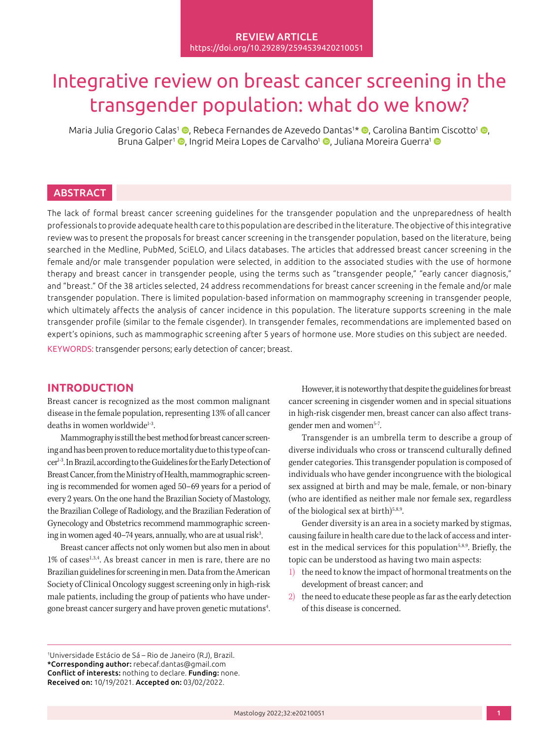#### REVIEW ARTICLE <https://doi.org/10.29289/2594539420210051>

# Integrative review on breast cancer screening in the transgender population: what do we know?

Maria Julia Gregorio Calas<sup>1</sup> ©[,](https://orcid.org/0000-0002-7407-6070) Rebeca Fernandes de Azevedo Dantas<sup>1</sup>\* ©, Carolina Bantim Ciscotto<sup>1</sup> ©, Bruna Galper<sup>1</sup> [,](https://orcid.org/0000-0002-9515-4381) Ingrid Meira Lopes de Carvalho<sup>[1](https://orcid.org/0000-0003-1883-9413)</sup> , Juliana Moreira Guerra<sup>1</sup> D

# **ABSTRACT**

The lack of formal breast cancer screening guidelines for the transgender population and the unpreparedness of health professionals to provide adequate health care to this population are described in the literature. The objective of this integrative review was to present the proposals for breast cancer screening in the transgender population, based on the literature, being searched in the Medline, PubMed, SciELO, and Lilacs databases. The articles that addressed breast cancer screening in the female and/or male transgender population were selected, in addition to the associated studies with the use of hormone therapy and breast cancer in transgender people, using the terms such as "transgender people," "early cancer diagnosis," and "breast." Of the 38 articles selected, 24 address recommendations for breast cancer screening in the female and/or male transgender population. There is limited population-based information on mammography screening in transgender people, which ultimately affects the analysis of cancer incidence in this population. The literature supports screening in the male transgender profile (similar to the female cisgender). In transgender females, recommendations are implemented based on expert's opinions, such as mammographic screening after 5 years of hormone use. More studies on this subject are needed. KEYWORDS: transgender persons; early detection of cancer; breast.

# **INTRODUCTION**

Breast cancer is recognized as the most common malignant disease in the female population, representing 13% of all cancer deaths in women worldwide $1-3$ .

Mammography is still the best method for breast cancer screening and has been proven to reduce mortality due to this type of cancer1-3. In Brazil, according to the Guidelines for the Early Detection of Breast Cancer, from the Ministry of Health, mammographic screening is recommended for women aged 50–69 years for a period of every 2 years. On the one hand the Brazilian Society of Mastology, the Brazilian College of Radiology, and the Brazilian Federation of Gynecology and Obstetrics recommend mammographic screening in women aged 40–74 years, annually, who are at usual risk<sup>3</sup>. .

Breast cancer affects not only women but also men in about 1% of cases<sup>1,3,4</sup>. As breast cancer in men is rare, there are no Brazilian guidelines for screening in men. Data from the American Society of Clinical Oncology suggest screening only in high-risk male patients, including the group of patients who have undergone breast cancer surgery and have proven genetic mutations<sup>4</sup>. .

However, it is noteworthy that despite the guidelines for breast cancer screening in cisgender women and in special situations in high-risk cisgender men, breast cancer can also affect transgender men and women<sup>5-7</sup>.

Transgender is an umbrella term to describe a group of diverse individuals who cross or transcend culturally defined gender categories. This transgender population is composed of individuals who have gender incongruence with the biological sex assigned at birth and may be male, female, or non-binary (who are identified as neither male nor female sex, regardless of the biological sex at birth) $5,8,9$ .

Gender diversity is an area in a society marked by stigmas, causing failure in health care due to the lack of access and interest in the medical services for this population<sup>5,8,9</sup>. Briefly, the topic can be understood as having two main aspects:

- 1) the need to know the impact of hormonal treatments on the development of breast cancer; and
- 2) the need to educate these people as far as the early detection of this disease is concerned.

1 Universidade Estácio de Sá – Rio de Janeiro (RJ), Brazil. \*Corresponding author: [rebecaf.dantas@gmail.com](mailto:rebecaf.dantas@gmail.com) Conflict of interests: nothing to declare. Funding: none. Received on: 10/19/2021. Accepted on: 03/02/2022.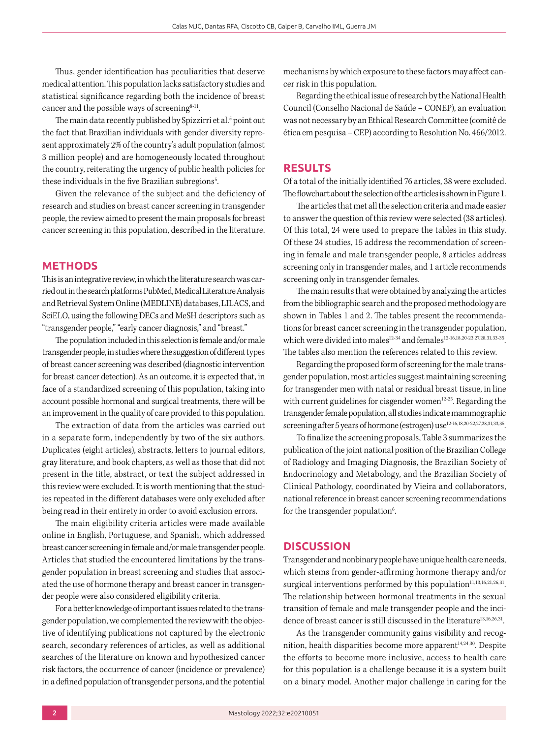Thus, gender identification has peculiarities that deserve medical attention. This population lacks satisfactory studies and statistical significance regarding both the incidence of breast cancer and the possible ways of screening $8-11$ .

The main data recently published by Spizzirri et al.<sup>5</sup> point out the fact that Brazilian individuals with gender diversity represent approximately 2% of the country's adult population (almost 3 million people) and are homogeneously located throughout the country, reiterating the urgency of public health policies for these individuals in the five Brazilian subregions<sup>5</sup>. .

Given the relevance of the subject and the deficiency of research and studies on breast cancer screening in transgender people, the review aimed to present the main proposals for breast cancer screening in this population, described in the literature.

## **METHODS**

This is an integrative review, in which the literature search was carried out in the search platforms PubMed, Medical Literature Analysis and Retrieval System Online (MEDLINE) databases, LILACS, and SciELO, using the following DECs and MeSH descriptors such as "transgender people," "early cancer diagnosis," and "breast."

The population included in this selection is female and/or male transgender people, in studies where the suggestion of different types of breast cancer screening was described (diagnostic intervention for breast cancer detection). As an outcome, it is expected that, in face of a standardized screening of this population, taking into account possible hormonal and surgical treatments, there will be an improvement in the quality of care provided to this population.

The extraction of data from the articles was carried out in a separate form, independently by two of the six authors. Duplicates (eight articles), abstracts, letters to journal editors, gray literature, and book chapters, as well as those that did not present in the title, abstract, or text the subject addressed in this review were excluded. It is worth mentioning that the studies repeated in the different databases were only excluded after being read in their entirety in order to avoid exclusion errors.

The main eligibility criteria articles were made available online in English, Portuguese, and Spanish, which addressed breast cancer screening in female and/or male transgender people. Articles that studied the encountered limitations by the transgender population in breast screening and studies that associated the use of hormone therapy and breast cancer in transgender people were also considered eligibility criteria.

For a better knowledge of important issues related to the transgender population, we complemented the review with the objective of identifying publications not captured by the electronic search, secondary references of articles, as well as additional searches of the literature on known and hypothesized cancer risk factors, the occurrence of cancer (incidence or prevalence) in a defined population of transgender persons, and the potential mechanisms by which exposure to these factors may affect cancer risk in this population.

Regarding the ethical issue of research by the National Health Council (Conselho Nacional de Saúde – CONEP), an evaluation was not necessary by an Ethical Research Committee (comitê de ética em pesquisa – CEP) according to Resolution No. 466/2012.

#### **RESULTS**

Of a total of the initially identified 76 articles, 38 were excluded. The flowchart about the selection of the articles is shown in Figure 1.

The articles that met all the selection criteria and made easier to answer the question of this review were selected (38 articles). Of this total, 24 were used to prepare the tables in this study. Of these 24 studies, 15 address the recommendation of screening in female and male transgender people, 8 articles address screening only in transgender males, and 1 article recommends screening only in transgender females.

The main results that were obtained by analyzing the articles from the bibliographic search and the proposed methodology are shown in Tables 1 and 2. The tables present the recommendations for breast cancer screening in the transgender population, which were divided into males<sup>12-34</sup> and females<sup>12-16,18,20-23,27,28,31,33-35</sup>. The tables also mention the references related to this review.

Regarding the proposed form of screening for the male transgender population, most articles suggest maintaining screening for transgender men with natal or residual breast tissue, in line with current guidelines for cisgender women $12-25$ . Regarding the transgender female population, all studies indicate mammographic screening after 5 years of hormone (estrogen) use<sup>12-16,18,20-22,27,28,31,33,35</sup>.

To finalize the screening proposals, Table 3 summarizes the publication of the joint national position of the Brazilian College of Radiology and Imaging Diagnosis, the Brazilian Society of Endocrinology and Metabology, and the Brazilian Society of Clinical Pathology, coordinated by Vieira and collaborators, national reference in breast cancer screening recommendations for the transgender population $6$ . .

#### **DISCUSSION**

Transgender and nonbinary people have unique health care needs, which stems from gender-affirming hormone therapy and/or surgical interventions performed by this population $11,13,16,21,26,31$ . The relationship between hormonal treatments in the sexual transition of female and male transgender people and the incidence of breast cancer is still discussed in the literature<sup>13,16,26,31</sup>.

As the transgender community gains visibility and recognition, health disparities become more apparent<sup>14,24,30</sup>. Despite the efforts to become more inclusive, access to health care for this population is a challenge because it is a system built on a binary model. Another major challenge in caring for the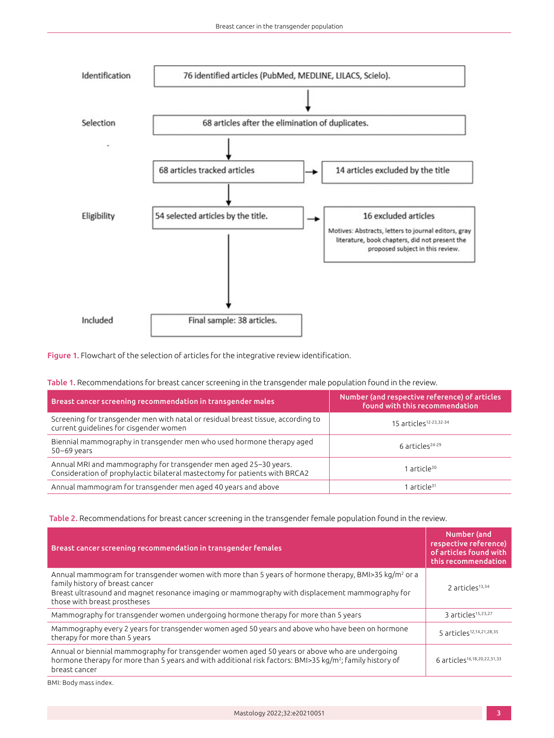

Figure 1. Flowchart of the selection of articles for the integrative review identification.

|  |  |  | Table 1. Recommendations for breast cancer screening in the transgender male population found in the review. |
|--|--|--|--------------------------------------------------------------------------------------------------------------|
|  |  |  |                                                                                                              |

| Breast cancer screening recommendation in transgender males                                                                                    | Number (and respective reference) of articles<br>found with this recommendation |
|------------------------------------------------------------------------------------------------------------------------------------------------|---------------------------------------------------------------------------------|
| Screening for transgender men with natal or residual breast tissue, according to<br>current quidelines for cisgender women                     | 15 articles <sup>12-23,32-34</sup>                                              |
| Biennial mammography in transgender men who used hormone therapy aged<br>$50-69$ years                                                         | 6 articles <sup>24-29</sup>                                                     |
| Annual MRI and mammography for transgender men aged 25-30 years.<br>Consideration of prophylactic bilateral mastectomy for patients with BRCA2 | 1 article <sup>30</sup>                                                         |
| Annual mammogram for transgender men aged 40 years and above                                                                                   | 1 article <sup>31</sup>                                                         |

Table 2. Recommendations for breast cancer screening in the transgender female population found in the review.

| Breast cancer screening recommendation in transgender females                                                                                                                                                                                                                         | Number (and<br>respective reference)<br>of articles found with<br>this recommendation |
|---------------------------------------------------------------------------------------------------------------------------------------------------------------------------------------------------------------------------------------------------------------------------------------|---------------------------------------------------------------------------------------|
| Annual mammogram for transgender women with more than 5 years of hormone therapy, BMI>35 kg/m <sup>2</sup> or a<br>family history of breast cancer<br>Breast ultrasound and magnet resonance imaging or mammography with displacement mammography for<br>those with breast prostheses | 2 articles <sup>13,34</sup>                                                           |
| Mammography for transgender women undergoing hormone therapy for more than 5 years                                                                                                                                                                                                    | 3 articles <sup>15,23,27</sup>                                                        |
| Mammography every 2 years for transgender women aged 50 years and above who have been on hormone<br>therapy for more than 5 years                                                                                                                                                     | 5 articles <sup>12,14,21,28,35</sup>                                                  |
| Annual or biennial mammography for transgender women aged 50 years or above who are undergoing<br>hormone therapy for more than 5 years and with additional risk factors: BMI>35 kg/m <sup>2</sup> ; family history of<br>breast cancer                                               | 6 articles <sup>16,18,20,22,31,33</sup>                                               |

BMI: Body mass index.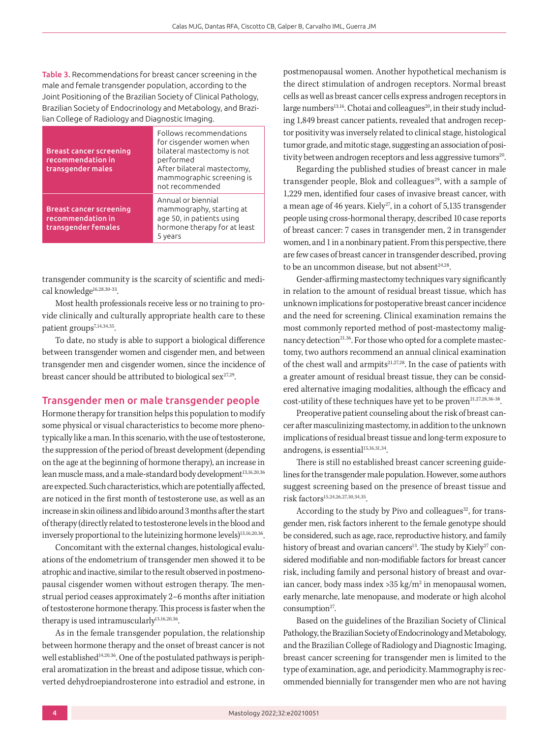Table 3. Recommendations for breast cancer screening in the male and female transgender population, according to the Joint Positioning of the Brazilian Society of Clinical Pathology, Brazilian Society of Endocrinology and Metabology, and Brazilian College of Radiology and Diagnostic Imaging.

| <b>Breast cancer screening</b><br>recommendation in<br>transgender males   | Follows recommendations<br>for cisgender women when<br>bilateral mastectomy is not<br>performed<br>After bilateral mastectomy,<br>mammographic screening is<br>not recommended |
|----------------------------------------------------------------------------|--------------------------------------------------------------------------------------------------------------------------------------------------------------------------------|
| <b>Breast cancer screening</b><br>recommendation in<br>transgender females | Annual or biennial<br>mammography, starting at<br>age 50, in patients using<br>hormone therapy for at least<br>5 years                                                         |

transgender community is the scarcity of scientific and medical knowledge<sup>16,28,30-33</sup>.

Most health professionals receive less or no training to provide clinically and culturally appropriate health care to these patient groups<sup>7,14,34,35</sup>.

To date, no study is able to support a biological difference between transgender women and cisgender men, and between transgender men and cisgender women, since the incidence of breast cancer should be attributed to biological sex $27,29$ .

#### Transgender men or male transgender people

Hormone therapy for transition helps this population to modify some physical or visual characteristics to become more phenotypically like a man. In this scenario, with the use of testosterone, the suppression of the period of breast development (depending on the age at the beginning of hormone therapy), an increase in lean muscle mass, and a male-standard body development<sup>13,16,20,36</sup> are expected. Such characteristics, which are potentially affected, are noticed in the first month of testosterone use, as well as an increase in skin oiliness and libido around 3 months after the start of therapy (directly related to testosterone levels in the blood and inversely proportional to the luteinizing hormone levels)<sup>13,16,20,36</sup>.

Concomitant with the external changes, histological evaluations of the endometrium of transgender men showed it to be atrophic and inactive, similar to the result observed in postmenopausal cisgender women without estrogen therapy. The menstrual period ceases approximately 2–6 months after initiation of testosterone hormone therapy. This process is faster when the therapy is used intramuscularly<sup>13,16,20,36</sup>.

As in the female transgender population, the relationship between hormone therapy and the onset of breast cancer is not well established<sup>14,20,36</sup>. One of the postulated pathways is peripheral aromatization in the breast and adipose tissue, which converted dehydroepiandrosterone into estradiol and estrone, in postmenopausal women. Another hypothetical mechanism is the direct stimulation of androgen receptors. Normal breast cells as well as breast cancer cells express androgen receptors in large numbers<sup>13,16</sup>. Chotai and colleagues<sup>20</sup>, in their study including 1,849 breast cancer patients, revealed that androgen receptor positivity was inversely related to clinical stage, histological tumor grade, and mitotic stage, suggesting an association of positivity between androgen receptors and less aggressive tumors<sup>20</sup>.

Regarding the published studies of breast cancer in male transgender people, Blok and colleagues<sup>29</sup>, with a sample of 1,229 men, identified four cases of invasive breast cancer, with a mean age of 46 years. Kiely<sup>27</sup>, in a cohort of 5,135 transgender people using cross-hormonal therapy, described 10 case reports of breast cancer: 7 cases in transgender men, 2 in transgender women, and 1 in a nonbinary patient. From this perspective, there are few cases of breast cancer in transgender described, proving to be an uncommon disease, but not absent<sup>24,28</sup>.

Gender-affirming mastectomy techniques vary significantly in relation to the amount of residual breast tissue, which has unknown implications for postoperative breast cancer incidence and the need for screening. Clinical examination remains the most commonly reported method of post-mastectomy malignancy detection<sup>21,36</sup>. For those who opted for a complete mastectomy, two authors recommend an annual clinical examination of the chest wall and armpits<sup>21,27,28</sup>. In the case of patients with a greater amount of residual breast tissue, they can be considered alternative imaging modalities, although the efficacy and cost-utility of these techniques have yet to be proven<sup>21,27,28,36-38</sup>.

Preoperative patient counseling about the risk of breast cancer after masculinizing mastectomy, in addition to the unknown implications of residual breast tissue and long-term exposure to androgens, is essential<sup>15,16,31,34</sup>.

There is still no established breast cancer screening guidelines for the transgender male population. However, some authors suggest screening based on the presence of breast tissue and risk factors15,24,26,27,30,34,35.

According to the study by Pivo and colleagues<sup>32</sup>, for transgender men, risk factors inherent to the female genotype should be considered, such as age, race, reproductive history, and family history of breast and ovarian cancers<sup>13</sup>. The study by Kiely<sup>27</sup> considered modifiable and non-modifiable factors for breast cancer risk, including family and personal history of breast and ovarian cancer, body mass index  $>35$  kg/m<sup>2</sup> in menopausal women, early menarche, late menopause, and moderate or high alcohol consumption $27$ .

Based on the guidelines of the Brazilian Society of Clinical Pathology, the Brazilian Society of Endocrinology and Metabology, and the Brazilian College of Radiology and Diagnostic Imaging, breast cancer screening for transgender men is limited to the type of examination, age, and periodicity. Mammography is recommended biennially for transgender men who are not having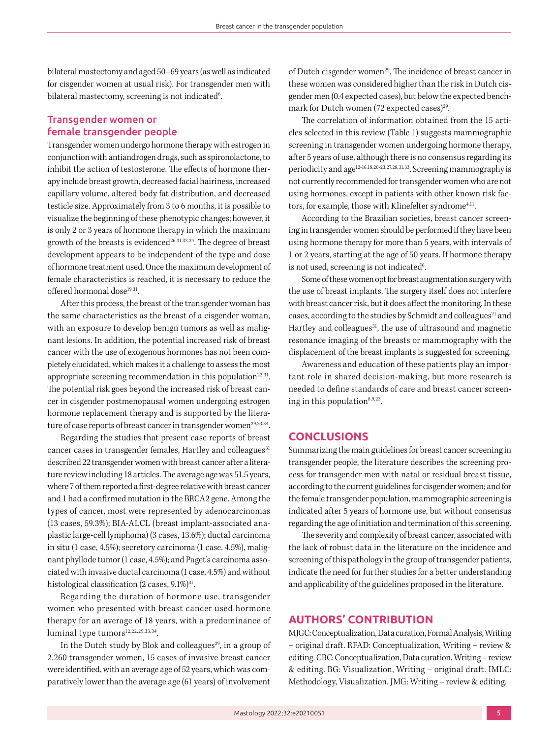bilateral mastectomy and aged 50–69 years (as well as indicated for cisgender women at usual risk). For transgender men with bilateral mastectomy, screening is not indicated<sup>6</sup>. .

### Transgender women or female transgender people

Transgender women undergo hormone therapy with estrogen in conjunction with antiandrogen drugs, such as spironolactone, to inhibit the action of testosterone. The effects of hormone therapy include breast growth, decreased facial hairiness, increased capillary volume, altered body fat distribution, and decreased testicle size. Approximately from 3 to 6 months, it is possible to visualize the beginning of these phenotypic changes; however, it is only 2 or 3 years of hormone therapy in which the maximum growth of the breasts is evidenced<sup>26,31,33,34</sup>. The degree of breast development appears to be independent of the type and dose of hormone treatment used. Once the maximum development of female characteristics is reached, it is necessary to reduce the offered hormonal dose<sup>19,31</sup>.

After this process, the breast of the transgender woman has the same characteristics as the breast of a cisgender woman, with an exposure to develop benign tumors as well as malignant lesions. In addition, the potential increased risk of breast cancer with the use of exogenous hormones has not been completely elucidated, which makes it a challenge to assess the most appropriate screening recommendation in this population<sup>22,31</sup>. The potential risk goes beyond the increased risk of breast cancer in cisgender postmenopausal women undergoing estrogen hormone replacement therapy and is supported by the literature of case reports of breast cancer in transgender women<sup>29,33,34</sup>.

Regarding the studies that present case reports of breast cancer cases in transgender females, Hartley and colleagues<sup>31</sup> described 22 transgender women with breast cancer after a literature review including 18 articles. The average age was 51.5 years, where 7 of them reported a first-degree relative with breast cancer and 1 had a confirmed mutation in the BRCA2 gene. Among the types of cancer, most were represented by adenocarcinomas (13 cases, 59.3%); BIA-ALCL (breast implant-associated anaplastic large-cell lymphoma) (3 cases, 13.6%); ductal carcinoma in situ (1 case, 4.5%); secretory carcinoma (1 case, 4.5%), malignant phyllode tumor (1 case, 4.5%); and Paget's carcinoma associated with invasive ductal carcinoma (1 case, 4.5%) and without histological classification  $(2 \text{ cases}, 9.1\%)^{31}$ .

Regarding the duration of hormone use, transgender women who presented with breast cancer used hormone therapy for an average of 18 years, with a predominance of luminal type tumors<sup>12,22,29,33,34</sup>.

In the Dutch study by Blok and colleagues<sup>29</sup>, in a group of 2,260 transgender women, 15 cases of invasive breast cancer were identified, with an average age of 52 years, which was comparatively lower than the average age (61 years) of involvement of Dutch cisgender women<sup>29</sup>. The incidence of breast cancer in these women was considered higher than the risk in Dutch cisgender men (0.4 expected cases), but below the expected benchmark for Dutch women  $(72$  expected cases)<sup>29</sup>.

The correlation of information obtained from the 15 articles selected in this review (Table 1) suggests mammographic screening in transgender women undergoing hormone therapy, after 5 years of use, although there is no consensus regarding its periodicity and age12-16,18,20-23,27,28,31,33. Screening mammography is not currently recommended for transgender women who are not using hormones, except in patients with other known risk factors, for example, those with Klinefelter syndrome<sup>4,11</sup>.

According to the Brazilian societies, breast cancer screening in transgender women should be performed if they have been using hormone therapy for more than 5 years, with intervals of 1 or 2 years, starting at the age of 50 years. If hormone therapy is not used, screening is not indicated<sup>6</sup>. .

Some of these women opt for breast augmentation surgery with the use of breast implants. The surgery itself does not interfere with breast cancer risk, but it does affect the monitoring. In these cases, according to the studies by Schmidt and colleagues<sup>21</sup> and Hartley and colleagues<sup>31</sup>, the use of ultrasound and magnetic resonance imaging of the breasts or mammography with the displacement of the breast implants is suggested for screening.

Awareness and education of these patients play an important role in shared decision-making, but more research is needed to define standards of care and breast cancer screening in this population<sup>8,9,23</sup>.

## **CONCLUSIONS**

Summarizing the main guidelines for breast cancer screening in transgender people, the literature describes the screening process for transgender men with natal or residual breast tissue, according to the current guidelines for cisgender women; and for the female transgender population, mammographic screening is indicated after 5 years of hormone use, but without consensus regarding the age of initiation and termination of this screening.

The severity and complexity of breast cancer, associated with the lack of robust data in the literature on the incidence and screening of this pathology in the group of transgender patients, indicate the need for further studies for a better understanding and applicability of the guidelines proposed in the literature.

# **AUTHORS' CONTRIBUTION**

MJGC: Conceptualization, Data curation, Formal Analysis, Writing – original draft. RFAD: Conceptualization, Writing – review & editing. CBC: Conceptualization, Data curation, Writing – review & editing. BG: Visualization, Writing – original draft. IMLC: Methodology, Visualization. JMG: Writing – review & editing.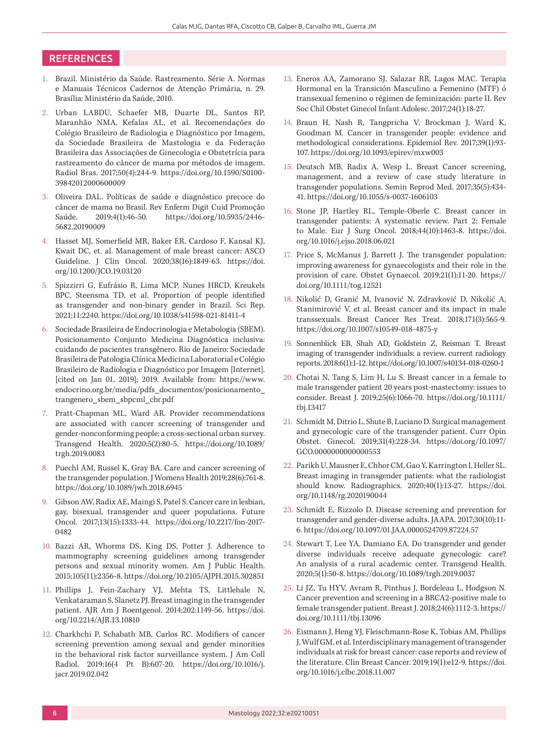## **REFERENCES**

- 1. Brazil. Ministério da Saúde. Rastreamento. Série A. Normas e Manuais Técnicos Cadernos de Atenção Primária, n. 29. Brasília: Ministério da Saúde, 2010.
- 2. Urban LABDU, Schaefer MB, Duarte DL, Santos RP, Maranhão NMA, Kefalas AL, et al. Recomendações do Colégio Brasileiro de Radiologia e Diagnóstico por Imagem, da Sociedade Brasileira de Mastologia e da Federação Brasileira das Associações de Ginecologia e Obstetrícia para rastreamento do câncer de mama por métodos de imagem. Radiol Bras. 2017;50(4):244-9. [https://doi.org/10.1590/S0100-](https://doi.org/10.1590/S0100-39842012000600009) [39842012000600009](https://doi.org/10.1590/S0100-39842012000600009)
- 3. Oliveira DAL. Políticas de saúde e diagnóstico precoce do câncer de mama no Brasil. Rev Enferm Digit Cuid Promoção Saúde. 2019;4(1):46-50. [https://doi.org/10.5935/2446-](https://doi.org/10.5935/2446-﻿5682.20190009) [5682.20190009](https://doi.org/10.5935/2446-﻿5682.20190009)
- 4. Hasset MJ, Somerfield MR, Baker ER, Cardoso F, Kansal KJ, Kwait DC, et. al. Management of male breast cancer: ASCO Guideline. J Clin Oncol. 2020;38(16):1849-63. [https://doi.](https://doi.org/10.1200/JCO.19.03120) [org/10.1200/JCO.19.03120](https://doi.org/10.1200/JCO.19.03120)
- 5. Spizzirri G, Eufrásio R, Lima MCP, Nunes HRCD, Kreukels BPC, Steensma TD, et al. Proportion of people identified as transgender and non-binary gender in Brazil. Sci Rep. 2021;11:2240.<https://doi.org/10.1038/s41598-021-81411-4>
- 6. Sociedade Brasileira de Endocrinologia e Metabologia (SBEM). Posicionamento Conjunto Medicina Diagnóstica inclusiva: cuidando de pacientes transgênero. Rio de Janeiro: Sociedade Brasileira de Patologia Clínica Medicina Laboratorial e Colégio Brasileiro de Radiologia e Diagnóstico por Imagem [Internet]. [cited on Jan 01, 2019]; 2019. Available from: [https://www.](https://www.endocrino.org.br/media/pdfs_documentos/posicionamento_trangenero_sbem_sbpcml_cbr.pdf) [endocrino.org.br/media/pdfs\\_documentos/posicionamento\\_](https://www.endocrino.org.br/media/pdfs_documentos/posicionamento_trangenero_sbem_sbpcml_cbr.pdf) [trangenero\\_sbem\\_sbpcml\\_cbr.pdf](https://www.endocrino.org.br/media/pdfs_documentos/posicionamento_trangenero_sbem_sbpcml_cbr.pdf)
- 7. Pratt-Chapman ML, Ward AR. Provider recommendations are associated with cancer screening of transgender and gender-nonconforming people: a cross-sectional urban survey. Transgend Health. 2020;5(2):80-5. [https://doi.org/10.1089/](https://doi.org/10.1089/trgh.2019.0083) [trgh.2019.0083](https://doi.org/10.1089/trgh.2019.0083)
- 8. Puechl AM, Russel K, Gray BA. Care and cancer screening of the transgender population. J Womens Health 2019;28(6):761-8. <https://doi.org/10.1089/jwh.2018.6945>
- 9. Gibson AW, Radix AE, Maingi S, Patel S. Cancer care in lesbian, gay, bisexual, transgender and queer populations. Future Oncol. 2017;13(15):1333-44. [https://doi.org/10.2217/fon-2017-](https://doi.org/10.2217/fon-2017-0482) [0482](https://doi.org/10.2217/fon-2017-0482)
- 10. Bazzi AR, Whorms DS, King DS, Potter J. Adherence to mammography screening guidelines among transgender persons and sexual minority women. Am J Public Health. 2015;105(11):2356-8. [https://doi.org/10.2105/AJPH.2015.302851](https://doi.org/10.2105/AJPH.2015.3﻿02851)
- 11. Phillips J, Fein-Zachary VJ, Mehta TS, Littlehale N, Venkataraman S, Slanetz PJ. Breast imaging in the transgender patient. AJR Am J Roentgenol. 2014;202:1149-56. [https://doi.](https://doi.org/10.2214/AJR.13.10810) [org/10.2214/AJR.13.10810](https://doi.org/10.2214/AJR.13.10810)
- 12. Charkhchi P, Schabath MB, Carlos RC. Modifiers of cancer screening prevention among sexual and gender minorities in the behavioral risk factor surveillance system. J Am Coll Radiol. 2019;16(4 Pt B):607-20. [https://doi.org/10.1016/j.](https://doi.org/10.1016/j.jacr.2019.02.042) [jacr.2019.02.042](https://doi.org/10.1016/j.jacr.2019.02.042)
- 13. Eneros AA, Zamorano SJ, Salazar RR, Lagos MAC. Terapia Hormonal en la Transición Masculino a Femenino (MTF) ó transexual femenino o régimen de feminización: parte II. Rev Soc Chil Obstet Ginecol Infant Adolesc. 2017;24(1):18-27.
- 14. Braun H, Nash R, Tangpricha V, Brockman J, Ward K, Goodman M. Cancer in transgender people: evidence and methodological considerations. Epidemiol Rev. 2017;39(1):93- 107.<https://doi.org/10.1093/epirev/mxw003>
- 15. Deutsch MB, Radix A, Wesp L. Breast Cancer screening, management, and a review of case study literature in transgender populations. Semin Reprod Med. 2017;35(5):434- 41.<https://doi.org/10.1055/s-0037-1606103>
- 16. Stone JP, Hartley RL, Temple-Oberle C. Breast cancer in transgender patients: A systematic review. Part 2: Female to Male. Eur J Surg Oncol. 2018;44(10):1463-8. [https://doi.](https://doi.org/10.1016/j.ejso.2018.06.021) [org/10.1016/j.ejso.2018.06.021](https://doi.org/10.1016/j.ejso.2018.06.021)
- 17. Price S, McManus J, Barrett J. The transgender population: improving awareness for gynaecologists and their role in the provision of care. Obstet Gynaecol. 2019;21(1):11-20. [https://](https://doi.org/10.1111/tog.12521) [doi.org/10.1111/tog.12521](https://doi.org/10.1111/tog.12521)
- 18. Nikolić D, Granić M, Ivanović N, Zdravković D, Nikolić A, Stanimirović V, et al. Breast cancer and its impact in male transsexuals. Breast Cancer Res Treat. 2018;171(3):565-9. <https://doi.org/10.1007/s10549-018-4875-y>
- 19. Sonnenblick EB, Shah AD, Goldstein Z, Reisman T. Breast imaging of transgender individuals: a review. current radiology reports. 2018;6(1):1-12. <https://doi.org/10.1007/s40134-018-0260-1>
- 20. Chotai N, Tang S, Lim H, Lu S. Breast cancer in a female to male transgender patient 20 years post-mastectomy: issues to consider. Breast J. 2019;25(6):1066-70. [https://doi.org/10.1111/](https://doi.org/10.1111/tbj.13417) [tbj.13417](https://doi.org/10.1111/tbj.13417)
- 21. Schmidt M, Ditrio L, Shute B, Luciano D. Surgical management and gynecologic care of the transgender patient. Curr Opin Obstet. Ginecol. 2019;31(4):228-34. [https://doi.org/10.1097/](https://doi.org/10.1097/GCO.0000000000000553) [GCO.0000000000000553](https://doi.org/10.1097/GCO.0000000000000553)
- 22. Parikh U, Mausner E, Chhor CM, Gao Y, Karrington I, Heller SL. Breast imaging in transgender patients: what the radiologist should know. Radiographics. 2020;40(1):13-27. [https://doi.](https://doi.org/10.1148/rg.2020190044) [org/10.1148/rg.2020190044](https://doi.org/10.1148/rg.2020190044)
- 23. Schmidt E, Rizzolo D. Disease screening and prevention for transgender and gender-diverse adults. JAAPA. 2017;30(10):11- 6. <https://doi.org/10.1097/01.JAA.0000524709.87224.57>
- 24. Stewart T, Lee YA, Damiano EA. Do transgender and gender diverse individuals receive adequate gynecologic care? An analysis of a rural academic center. Transgend Health. 2020;5(1):50-8.<https://doi.org/10.1089/trgh.2019.0037>
- 25. Li JZ, Tu HYV, Avram R, Pinthus J, Bordeleau L, Hodgson N. Cancer prevention and screening in a BRCA2-positive male to female transgender patient. Breast J. 2018;24(6):1112-3. [https://](https://doi.org/10.1111/tbj.13096) [doi.org/10.1111/tbj.13096](https://doi.org/10.1111/tbj.13096)
- 26. Eismann J, Heng YJ, Fleischmann-Rose K, Tobias AM, Phillips J, Wulf GM, et al. Interdisciplinary management of transgender individuals at risk for breast cancer: case reports and review of the literature. Clin Breast Cancer. 2019;19(1):e12-9. [https://doi.](https://doi.org/10.1016/j.clbc.2018.11.007) [org/10.1016/j.clbc.2018.11.007](https://doi.org/10.1016/j.clbc.2018.11.007)